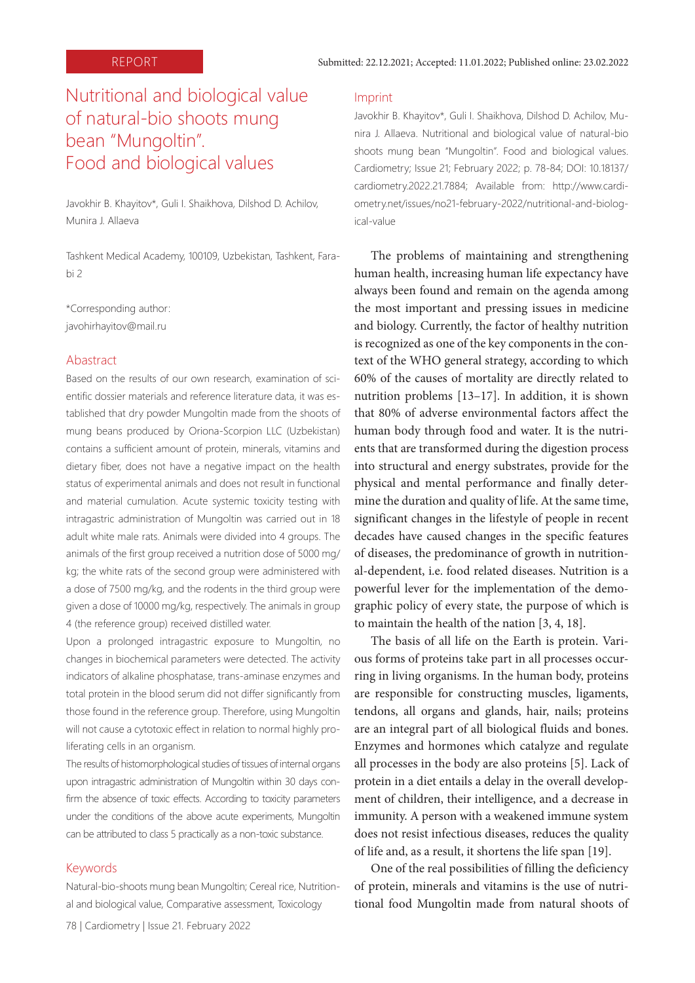# Nutritional and biological value of natural-bio shoots mung bean "Mungoltin". Food and biological values

Javokhir B. Khayitov\*, Guli I. Shaikhova, Dilshod D. Achilov, Munira J. Allaeva

Tashkent Medical Academy, 100109, Uzbekistan, Tashkent, Farabi 2

\*Corresponding author: javohirhayitov@mail.ru

#### Abastract

Based on the results of our own research, examination of scientific dossier materials and reference literature data, it was established that dry powder Mungoltin made from the shoots of mung beans produced by Oriona-Scorpion LLC (Uzbekistan) contains a sufficient amount of protein, minerals, vitamins and dietary fiber, does not have a negative impact on the health status of experimental animals and does not result in functional and material cumulation. Acute systemic toxicity testing with intragastric administration of Mungoltin was carried out in 18 adult white male rats. Animals were divided into 4 groups. The animals of the first group received a nutrition dose of 5000 mg/ kg; the white rats of the second group were administered with a dose of 7500 mg/kg, and the rodents in the third group were given a dose of 10000 mg/kg, respectively. The animals in group 4 (the reference group) received distilled water.

Upon a prolonged intragastric exposure to Mungoltin, no changes in biochemical parameters were detected. The activity indicators of alkaline phosphatase, trans-aminase enzymes and total protein in the blood serum did not differ significantly from those found in the reference group. Therefore, using Mungoltin will not cause a cytotoxic effect in relation to normal highly proliferating cells in an organism.

The results of histomorphological studies of tissues of internal organs upon intragastric administration of Mungoltin within 30 days confirm the absence of toxic effects. According to toxicity parameters under the conditions of the above acute experiments, Mungoltin can be attributed to class 5 practically as a non-toxic substance.

#### Keywords

Natural-bio-shoots mung bean Mungoltin; Cereal rice, Nutritional and biological value, Comparative assessment, Toxicology

#### Imprint

Javokhir B. Khayitov\*, Guli I. Shaikhova, Dilshod D. Achilov, Munira J. Allaeva. Nutritional and biological value of natural-bio shoots mung bean "Mungoltin". Food and biological values. Cardiometry; Issue 21; February 2022; p. 78-84; DOI: 10.18137/ cardiometry.2022.21.7884; Available from: http://www.cardiometry.net/issues/no21-february-2022/nutritional-and-biological-value

The problems of maintaining and strengthening human health, increasing human life expectancy have always been found and remain on the agenda among the most important and pressing issues in medicine and biology. Currently, the factor of healthy nutrition is recognized as one of the key components in the context of the WHO general strategy, according to which 60% of the causes of mortality are directly related to nutrition problems [13–17]. In addition, it is shown that 80% of adverse environmental factors affect the human body through food and water. It is the nutrients that are transformed during the digestion process into structural and energy substrates, provide for the physical and mental performance and finally determine the duration and quality of life. At the same time, significant changes in the lifestyle of people in recent decades have caused changes in the specific features of diseases, the predominance of growth in nutritional-dependent, i.e. food related diseases. Nutrition is a powerful lever for the implementation of the demographic policy of every state, the purpose of which is to maintain the health of the nation [3, 4, 18].

The basis of all life on the Earth is protein. Various forms of proteins take part in all processes occurring in living organisms. In the human body, proteins are responsible for constructing muscles, ligaments, tendons, all organs and glands, hair, nails; proteins are an integral part of all biological fluids and bones. Enzymes and hormones which catalyze and regulate all processes in the body are also proteins [5]. Lack of protein in a diet entails a delay in the overall development of children, their intelligence, and a decrease in immunity. A person with a weakened immune system does not resist infectious diseases, reduces the quality of life and, as a result, it shortens the life span [19].

One of the real possibilities of filling the deficiency of protein, minerals and vitamins is the use of nutritional food Mungoltin made from natural shoots of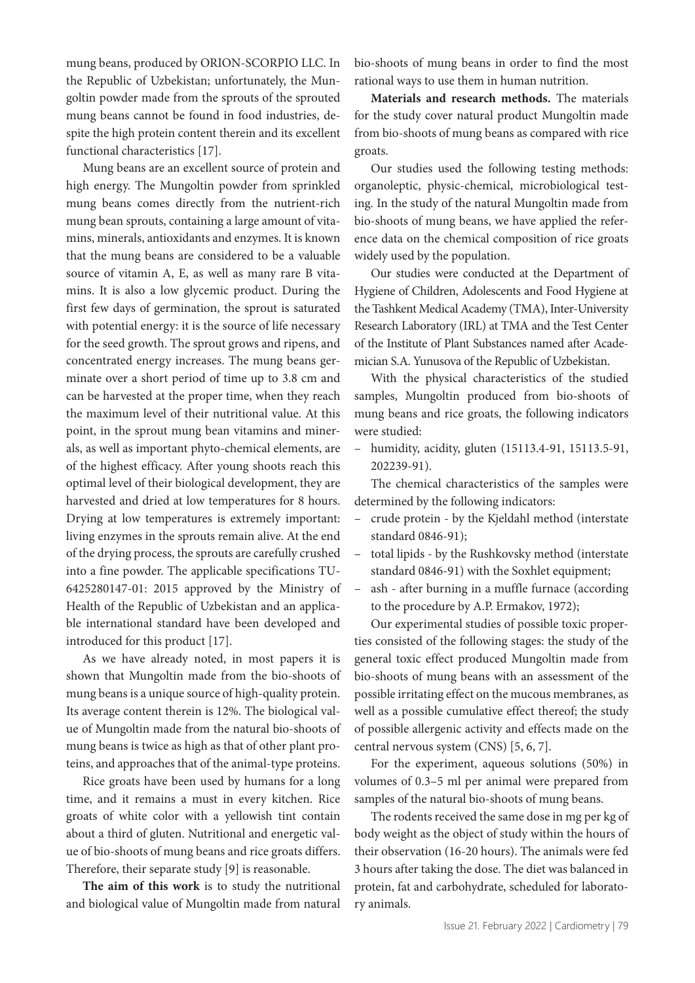mung beans, produced by ORION-SCORPIO LLC. In the Republic of Uzbekistan; unfortunately, the Mungoltin powder made from the sprouts of the sprouted mung beans cannot be found in food industries, despite the high protein content therein and its excellent functional characteristics [17].

Mung beans are an excellent source of protein and high energy. The Mungoltin powder from sprinkled mung beans comes directly from the nutrient-rich mung bean sprouts, containing a large amount of vitamins, minerals, antioxidants and enzymes. It is known that the mung beans are considered to be a valuable source of vitamin A, E, as well as many rare B vitamins. It is also a low glycemic product. During the first few days of germination, the sprout is saturated with potential energy: it is the source of life necessary for the seed growth. The sprout grows and ripens, and concentrated energy increases. The mung beans germinate over a short period of time up to 3.8 cm and can be harvested at the proper time, when they reach the maximum level of their nutritional value. At this point, in the sprout mung bean vitamins and minerals, as well as important phyto-chemical elements, are of the highest efficacy. After young shoots reach this optimal level of their biological development, they are harvested and dried at low temperatures for 8 hours. Drying at low temperatures is extremely important: living enzymes in the sprouts remain alive. At the end of the drying process, the sprouts are carefully crushed into a fine powder. The applicable specifications TU-6425280147-01: 2015 approved by the Ministry of Health of the Republic of Uzbekistan and an applicable international standard have been developed and introduced for this product [17].

As we have already noted, in most papers it is shown that Mungoltin made from the bio-shoots of mung beans is a unique source of high-quality protein. Its average content therein is 12%. The biological value of Mungoltin made from the natural bio-shoots of mung beans is twice as high as that of other plant proteins, and approaches that of the animal-type proteins.

Rice groats have been used by humans for a long time, and it remains a must in every kitchen. Rice groats of white color with a yellowish tint contain about a third of gluten. Nutritional and energetic value of bio-shoots of mung beans and rice groats differs. Therefore, their separate study [9] is reasonable.

**The aim of this work** is to study the nutritional and biological value of Mungoltin made from natural

bio-shoots of mung beans in order to find the most rational ways to use them in human nutrition.

**Materials and research methods.** The materials for the study cover natural product Mungoltin made from bio-shoots of mung beans as compared with rice groats.

Our studies used the following testing methods: organoleptic, physic-chemical, microbiological testing. In the study of the natural Mungoltin made from bio-shoots of mung beans, we have applied the reference data on the chemical composition of rice groats widely used by the population.

Our studies were conducted at the Department of Hygiene of Children, Adolescents and Food Hygiene at the Tashkent Medical Academy (TMA), Inter-University Research Laboratory (IRL) at TMA and the Test Center of the Institute of Plant Substances named after Academician S.A. Yunusova of the Republic of Uzbekistan.

With the physical characteristics of the studied samples, Mungoltin produced from bio-shoots of mung beans and rice groats, the following indicators were studied:

– humidity, acidity, gluten (15113.4-91, 15113.5-91, 202239-91).

The chemical characteristics of the samples were determined by the following indicators:

- crude protein by the Kjeldahl method (interstate standard 0846-91);
- total lipids by the Rushkovsky method (interstate standard 0846-91) with the Soxhlet equipment;
- ash after burning in a muffle furnace (according to the procedure by A.P. Ermakov, 1972);

Our experimental studies of possible toxic properties consisted of the following stages: the study of the general toxic effect produced Mungoltin made from bio-shoots of mung beans with an assessment of the possible irritating effect on the mucous membranes, as well as a possible cumulative effect thereof; the study of possible allergenic activity and effects made on the central nervous system (CNS) [5, 6, 7].

For the experiment, aqueous solutions (50%) in volumes of 0.3–5 ml per animal were prepared from samples of the natural bio-shoots of mung beans.

The rodents received the same dose in mg per kg of body weight as the object of study within the hours of their observation (16-20 hours). The animals were fed 3 hours after taking the dose. The diet was balanced in protein, fat and carbohydrate, scheduled for laboratory animals.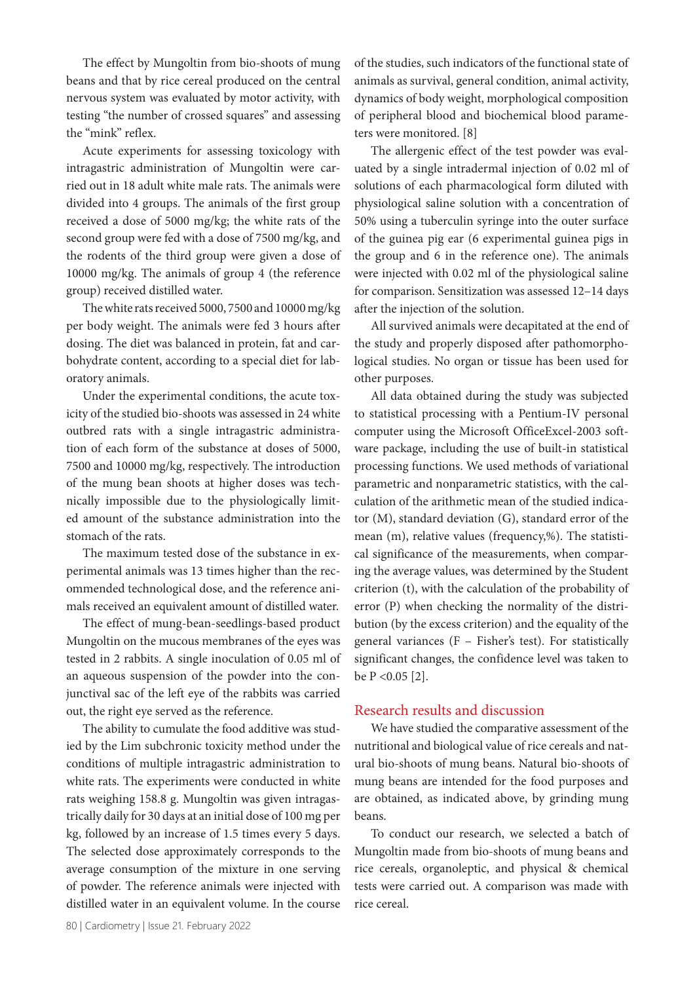The effect by Mungoltin from bio-shoots of mung beans and that by rice cereal produced on the central nervous system was evaluated by motor activity, with testing "the number of crossed squares" and assessing the "mink" reflex.

Acute experiments for assessing toxicology with intragastric administration of Mungoltin were carried out in 18 adult white male rats. The animals were divided into 4 groups. The animals of the first group received a dose of 5000 mg/kg; the white rats of the second group were fed with a dose of 7500 mg/kg, and the rodents of the third group were given a dose of 10000 mg/kg. The animals of group 4 (the reference group) received distilled water.

The white rats received 5000, 7500 and 10000 mg/kg per body weight. The animals were fed 3 hours after dosing. The diet was balanced in protein, fat and carbohydrate content, according to a special diet for laboratory animals.

Under the experimental conditions, the acute toxicity of the studied bio-shoots was assessed in 24 white outbred rats with a single intragastric administration of each form of the substance at doses of 5000, 7500 and 10000 mg/kg, respectively. The introduction of the mung bean shoots at higher doses was technically impossible due to the physiologically limited amount of the substance administration into the stomach of the rats.

The maximum tested dose of the substance in experimental animals was 13 times higher than the recommended technological dose, and the reference animals received an equivalent amount of distilled water.

The effect of mung-bean-seedlings-based product Mungoltin on the mucous membranes of the eyes was tested in 2 rabbits. A single inoculation of 0.05 ml of an aqueous suspension of the powder into the conjunctival sac of the left eye of the rabbits was carried out, the right eye served as the reference.

The ability to cumulate the food additive was studied by the Lim subchronic toxicity method under the conditions of multiple intragastric administration to white rats. The experiments were conducted in white rats weighing 158.8 g. Mungoltin was given intragastrically daily for 30 days at an initial dose of 100 mg per kg, followed by an increase of 1.5 times every 5 days. The selected dose approximately corresponds to the average consumption of the mixture in one serving of powder. The reference animals were injected with distilled water in an equivalent volume. In the course

of the studies, such indicators of the functional state of animals as survival, general condition, animal activity, dynamics of body weight, morphological composition of peripheral blood and biochemical blood parameters were monitored. [8]

The allergenic effect of the test powder was evaluated by a single intradermal injection of 0.02 ml of solutions of each pharmacological form diluted with physiological saline solution with a concentration of 50% using a tuberculin syringe into the outer surface of the guinea pig ear (6 experimental guinea pigs in the group and 6 in the reference one). The animals were injected with 0.02 ml of the physiological saline for comparison. Sensitization was assessed 12–14 days after the injection of the solution.

All survived animals were decapitated at the end of the study and properly disposed after pathomorphological studies. No organ or tissue has been used for other purposes.

All data obtained during the study was subjected to statistical processing with a Pentium-IV personal computer using the Microsoft OfficeExcel-2003 software package, including the use of built-in statistical processing functions. We used methods of variational parametric and nonparametric statistics, with the calculation of the arithmetic mean of the studied indicator (M), standard deviation (G), standard error of the mean (m), relative values (frequency,%). The statistical significance of the measurements, when comparing the average values, was determined by the Student criterion (t), with the calculation of the probability of error (P) when checking the normality of the distribution (by the excess criterion) and the equality of the general variances (F – Fisher's test). For statistically significant changes, the confidence level was taken to be P <0.05 [2].

### Research results and discussion

We have studied the comparative assessment of the nutritional and biological value of rice cereals and natural bio-shoots of mung beans. Natural bio-shoots of mung beans are intended for the food purposes and are obtained, as indicated above, by grinding mung beans.

To conduct our research, we selected a batch of Mungoltin made from bio-shoots of mung beans and rice cereals, organoleptic, and physical & chemical tests were carried out. A comparison was made with rice cereal.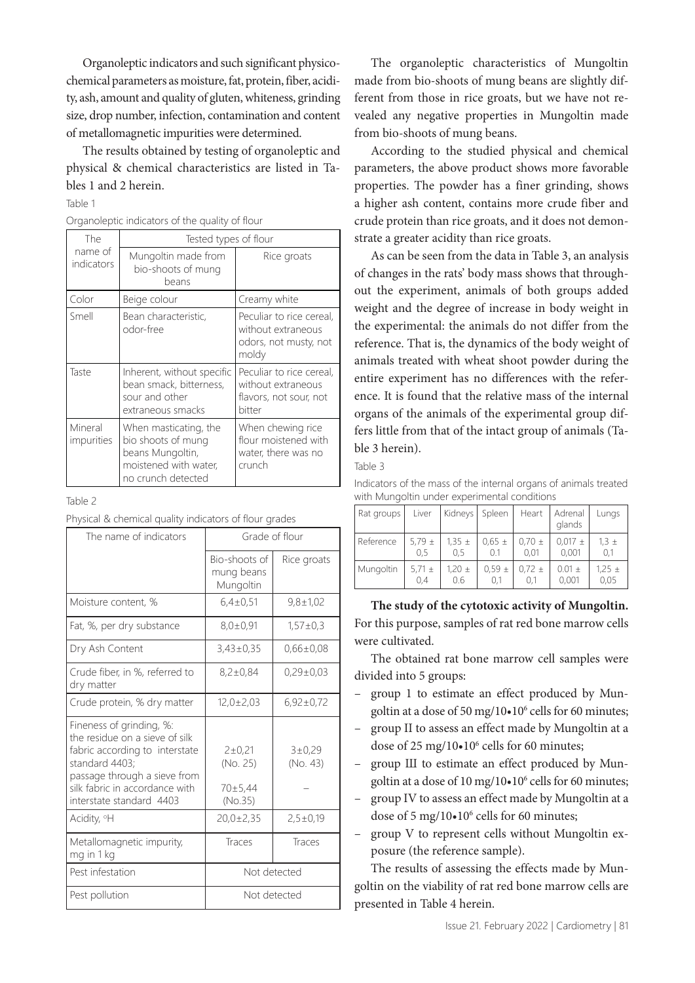Organoleptic indicators and such significant physicochemical parameters as moisture, fat, protein, fiber, acidity, ash, amount and quality of gluten, whiteness, grinding size, drop number, infection, contamination and content of metallomagnetic impurities were determined.

The results obtained by testing of organoleptic and physical & chemical characteristics are listed in Tables 1 and 2 herein.

#### Table 1

|  | Organoleptic indicators of the quality of flour |  |  |  |  |
|--|-------------------------------------------------|--|--|--|--|
|--|-------------------------------------------------|--|--|--|--|

| The<br>name of<br>indicators |                       | Tested types of flour                                                                                          |                                                                                    |  |
|------------------------------|-----------------------|----------------------------------------------------------------------------------------------------------------|------------------------------------------------------------------------------------|--|
|                              |                       | Mungoltin made from<br>bio-shoots of mung<br>beans                                                             | Rice groats                                                                        |  |
|                              | Color                 | Beige colour                                                                                                   | Creamy white                                                                       |  |
|                              | Smell                 | Bean characteristic,<br>odor-free                                                                              | Peculiar to rice cereal,<br>without extraneous<br>odors, not musty, not<br>moldy   |  |
|                              | Taste                 | Inherent, without specific<br>bean smack, bitterness,<br>sour and other<br>extraneous smacks                   | Peculiar to rice cereal,<br>without extraneous<br>flavors, not sour, not<br>bitter |  |
|                              | Mineral<br>impurities | When masticating, the<br>bio shoots of mung<br>beans Mungoltin,<br>moistened with water,<br>no crunch detected | When chewing rice<br>flour moistened with<br>water, there was no<br>crunch         |  |

#### Table 2

| The name of indicators                                                                                                                                                                                       | Grade of flour                             |                      |  |  |
|--------------------------------------------------------------------------------------------------------------------------------------------------------------------------------------------------------------|--------------------------------------------|----------------------|--|--|
|                                                                                                                                                                                                              | Bio-shoots of<br>mung beans<br>Mungoltin   | Rice groats          |  |  |
| Moisture content, %                                                                                                                                                                                          | $6,4\pm0,51$                               | $9,8 \pm 1,02$       |  |  |
| Fat, %, per dry substance                                                                                                                                                                                    | $8.0 \pm 0.91$                             | $1,57\pm0.3$         |  |  |
| Dry Ash Content                                                                                                                                                                                              | $3,43\pm0,35$                              | $0.66 \pm 0.08$      |  |  |
| Crude fiber, in %, referred to<br>dry matter                                                                                                                                                                 | $8,2\pm0,84$                               | $0,29\pm0,03$        |  |  |
| Crude protein, % dry matter                                                                                                                                                                                  | $12,0 \pm 2,03$                            | $6,92\pm0.72$        |  |  |
| Fineness of grinding, %:<br>the residue on a sieve of silk<br>fabric according to interstate<br>standard 4403;<br>passage through a sieve from<br>silk fabric in accordance with<br>interstate standard 4403 | 2 ± 0.21<br>(No. 25)<br>70±5,44<br>(No.35) | 3 ± 0.29<br>(No. 43) |  |  |
| Acidity, <sup>o</sup> H                                                                                                                                                                                      | $20,0\pm2,35$                              | $2,5 \pm 0,19$       |  |  |
| Metallomagnetic impurity,<br>mg in 1 kg                                                                                                                                                                      | Traces                                     | Traces               |  |  |
| Pest infestation                                                                                                                                                                                             | Not detected                               |                      |  |  |
| Pest pollution                                                                                                                                                                                               | Not detected                               |                      |  |  |

The organoleptic characteristics of Mungoltin made from bio-shoots of mung beans are slightly different from those in rice groats, but we have not revealed any negative properties in Mungoltin made from bio-shoots of mung beans.

According to the studied physical and chemical parameters, the above product shows more favorable properties. The powder has a finer grinding, shows a higher ash content, contains more crude fiber and crude protein than rice groats, and it does not demonstrate a greater acidity than rice groats.

As can be seen from the data in Table 3, an analysis of changes in the rats' body mass shows that throughout the experiment, animals of both groups added weight and the degree of increase in body weight in the experimental: the animals do not differ from the reference. That is, the dynamics of the body weight of animals treated with wheat shoot powder during the entire experiment has no differences with the reference. It is found that the relative mass of the internal organs of the animals of the experimental group differs little from that of the intact group of animals (Table 3 herein).

Table 3

| Indicators of the mass of the internal organs of animals treated |  |  |  |
|------------------------------------------------------------------|--|--|--|
| with Mungoltin under experimental conditions                     |  |  |  |

| Rat groups | Liver      | Kidneys    | Spleen     | Heart      | Adrenal<br>glands | Lungs      |
|------------|------------|------------|------------|------------|-------------------|------------|
| Reference  | 5,79 $\pm$ | $1,35 \pm$ | $0.65 \pm$ | $0.70 \pm$ | $0,017 \pm$       | $1,3 \pm$  |
|            | 0.5        | 0.5        | 0.1        | 0.01       | 0,001             | 0,1        |
| Mungoltin  | 5,71 $\pm$ | $1,20 \pm$ | $0.59 \pm$ | $0.72 \pm$ | $0.01 \pm$        | $1,25 \pm$ |
|            | 0.4        | 0.6        | 0.1        | 0.1        | 0,001             | 0,05       |

**The study of the cytotoxic activity of Mungoltin.**  For this purpose, samples of rat red bone marrow cells were cultivated.

The obtained rat bone marrow cell samples were divided into 5 groups:

- group 1 to estimate an effect produced by Mungoltin at a dose of 50 mg/10.10° cells for 60 minutes;
- group II to assess an effect made by Mungoltin at a dose of 25 mg/10•10<sup>6</sup> cells for 60 minutes;
- group Ш to estimate an effect produced by Mungoltin at a dose of 10 mg/10.10° cells for 60 minutes;
- group IV to assess an effect made by Mungoltin at a dose of 5 mg/10•10<sup>6</sup> cells for 60 minutes;
- group V to represent cells without Mungoltin exposure (the reference sample).

The results of assessing the effects made by Mungoltin on the viability of rat red bone marrow cells are presented in Table 4 herein.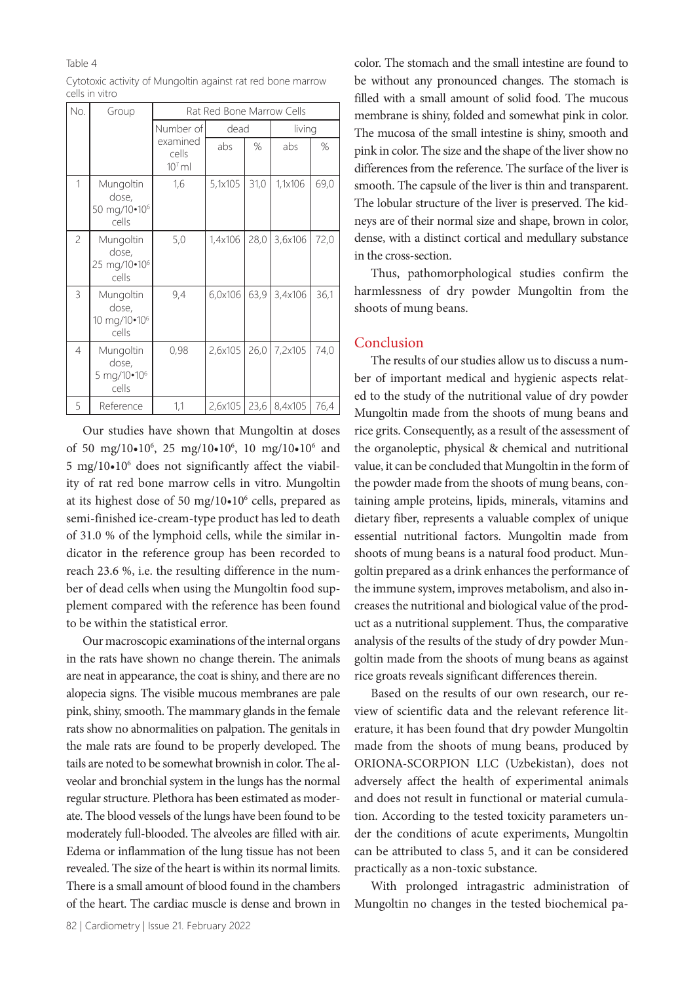#### Table 4

| No.            | Group                                                   |                               | Rat Red Bone Marrow Cells |      |         |      |
|----------------|---------------------------------------------------------|-------------------------------|---------------------------|------|---------|------|
|                |                                                         | Number of                     | dead                      |      | living  |      |
|                |                                                         | examined<br>cells<br>$107$ ml | abs                       | %    | abs     | %    |
| 1              | Mungoltin<br>dose,<br>50 mg/10•10 <sup>6</sup><br>cells | 1,6                           | 5,1x105                   | 31,0 | 1,1x106 | 69,0 |
| $\overline{c}$ | Mungoltin<br>dose,<br>25 mg/10•10 <sup>6</sup><br>cells | 5,0                           | 1,4x106                   | 28,0 | 3,6x106 | 72,0 |
| 3              | Mungoltin<br>dose,<br>10 mg/10•10 <sup>6</sup><br>cells | 9,4                           | 6,0x106                   | 63,9 | 3,4x106 | 36,1 |
| 4              | Mungoltin<br>dose,<br>5 mg/10•10 <sup>6</sup><br>cells  | 0,98                          | 2,6x105                   | 26,0 | 7,2x105 | 74,0 |
| 5              | Reference                                               | 1,1                           | 2,6x105                   | 23,6 | 8,4x105 | 76,4 |

Cytotoxic activity of Mungoltin against rat red bone marrow cells in vitro

Our studies have shown that Mungoltin at doses of 50 mg/10•10<sup>6</sup>, 25 mg/10•10<sup>6</sup>, 10 mg/10•10<sup>6</sup> and 5 mg/10•106 does not significantly affect the viability of rat red bone marrow cells in vitro. Mungoltin at its highest dose of 50 mg/10•10<sup>6</sup> cells, prepared as semi-finished ice-cream-type product has led to death of 31.0 % of the lymphoid cells, while the similar indicator in the reference group has been recorded to reach 23.6 %, i.e. the resulting difference in the number of dead cells when using the Mungoltin food supplement compared with the reference has been found to be within the statistical error.

Our macroscopic examinations of the internal organs in the rats have shown no change therein. The animals are neat in appearance, the coat is shiny, and there are no alopecia signs. The visible mucous membranes are pale pink, shiny, smooth. The mammary glands in the female rats show no abnormalities on palpation. The genitals in the male rats are found to be properly developed. The tails are noted to be somewhat brownish in color. The alveolar and bronchial system in the lungs has the normal regular structure. Plethora has been estimated as moderate. The blood vessels of the lungs have been found to be moderately full-blooded. The alveoles are filled with air. Edema or inflammation of the lung tissue has not been revealed. The size of the heart is within its normal limits. There is a small amount of blood found in the chambers of the heart. The cardiac muscle is dense and brown in color. The stomach and the small intestine are found to be without any pronounced changes. The stomach is filled with a small amount of solid food. The mucous membrane is shiny, folded and somewhat pink in color. The mucosa of the small intestine is shiny, smooth and pink in color. The size and the shape of the liver show no differences from the reference. The surface of the liver is smooth. The capsule of the liver is thin and transparent. The lobular structure of the liver is preserved. The kidneys are of their normal size and shape, brown in color, dense, with a distinct cortical and medullary substance in the cross-section.

Thus, pathomorphological studies confirm the harmlessness of dry powder Mungoltin from the shoots of mung beans.

### Conclusion

The results of our studies allow us to discuss a number of important medical and hygienic aspects related to the study of the nutritional value of dry powder Mungoltin made from the shoots of mung beans and rice grits. Consequently, as a result of the assessment of the organoleptic, physical & chemical and nutritional value, it can be concluded that Mungoltin in the form of the powder made from the shoots of mung beans, containing ample proteins, lipids, minerals, vitamins and dietary fiber, represents a valuable complex of unique essential nutritional factors. Mungoltin made from shoots of mung beans is a natural food product. Mungoltin prepared as a drink enhances the performance of the immune system, improves metabolism, and also increases the nutritional and biological value of the product as a nutritional supplement. Thus, the comparative analysis of the results of the study of dry powder Mungoltin made from the shoots of mung beans as against rice groats reveals significant differences therein.

Based on the results of our own research, our review of scientific data and the relevant reference literature, it has been found that dry powder Mungoltin made from the shoots of mung beans, produced by ORIONA-SCORPION LLC (Uzbekistan), does not adversely affect the health of experimental animals and does not result in functional or material cumulation. According to the tested toxicity parameters under the conditions of acute experiments, Mungoltin can be attributed to class 5, and it can be considered practically as a non-toxic substance.

With prolonged intragastric administration of Mungoltin no changes in the tested biochemical pa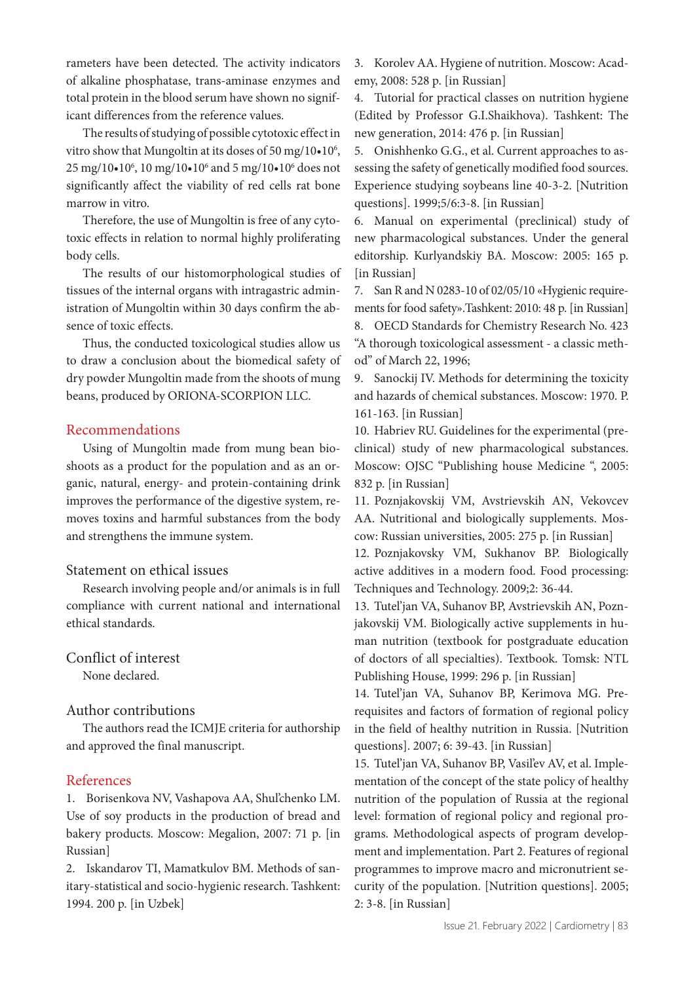rameters have been detected. The activity indicators of alkaline phosphatase, trans-aminase enzymes and total protein in the blood serum have shown no significant differences from the reference values.

The results of studying of possible cytotoxic effect in vitro show that Mungoltin at its doses of  $50 \text{ mg}/10 \cdot 10^6$ , 25 mg/10•10<sup>6</sup>, 10 mg/10•10<sup>6</sup> and 5 mg/10•10<sup>6</sup> does not significantly affect the viability of red cells rat bone marrow in vitro.

Therefore, the use of Mungoltin is free of any cytotoxic effects in relation to normal highly proliferating body cells.

The results of our histomorphological studies of tissues of the internal organs with intragastric administration of Mungoltin within 30 days confirm the absence of toxic effects.

Thus, the conducted toxicological studies allow us to draw a conclusion about the biomedical safety of dry powder Mungoltin made from the shoots of mung beans, produced by ORIONA-SCORPION LLC.

# Recommendations

Using of Mungoltin made from mung bean bioshoots as a product for the population and as an organic, natural, energy- and protein-containing drink improves the performance of the digestive system, removes toxins and harmful substances from the body and strengthens the immune system.

### Statement on ethical issues

Research involving people and/or animals is in full compliance with current national and international ethical standards.

# Conflict of interest

None declared.

# Author contributions

The authors read the ICMJE criteria for authorship and approved the final manuscript.

# References

1. Borisenkova NV, Vashapova AA, Shul'chenko LM. Use of soy products in the production of bread and bakery products. Moscow: Megalion, 2007: 71 p. [in Russian]

2. Iskandarov TI, Mamatkulov BM. Methods of sanitary-statistical and socio-hygienic research. Tashkent: 1994. 200 p. [in Uzbek]

3. Korolev AA. Hygiene of nutrition. Moscow: Academy, 2008: 528 p. [in Russian]

4. Tutorial for practical classes on nutrition hygiene (Edited by Professor G.I.Shaikhova). Tashkent: The new generation, 2014: 476 p. [in Russian]

5. Onishhenko G.G., et al. Current approaches to assessing the safety of genetically modified food sources. Experience studying soybeans line 40-3-2. [Nutrition questions]. 1999;5/6:3-8. [in Russian]

6. Manual on experimental (preclinical) study of new pharmacological substances. Under the general editorship. Kurlyandskiy BA. Moscow: 2005: 165 p. [in Russian]

7. San R and N 0283-10 of 02/05/10 «Hygienic requirements for food safety».Tashkent: 2010: 48 p. [in Russian] 8. OECD Standards for Chemistry Research No. 423 "A thorough toxicological assessment - a classic method" of March 22, 1996;

9. Sanockij IV. Methods for determining the toxicity and hazards of chemical substances. Moscow: 1970. P. 161-163. [in Russian]

10. Habriev RU. Guidelines for the experimental (preclinical) study of new pharmacological substances. Moscow: OJSC "Publishing house Medicine ", 2005: 832 p. [in Russian]

11. Poznjakovskij VM, Avstrievskih AN, Vekovcev AA. Nutritional and biologically supplements. Moscow: Russian universities, 2005: 275 p. [in Russian]

12. Poznjakovsky VM, Sukhanov BP. Biologically active additives in a modern food. Food processing: Techniques and Technology. 2009;2: 36-44.

13. Tutel'jan VA, Suhanov BP, Avstrievskih AN, Poznjakovskij VM. Biologically active supplements in human nutrition (textbook for postgraduate education of doctors of all specialties). Textbook. Tomsk: NTL Publishing House, 1999: 296 p. [in Russian]

14. Tutel'jan VA, Suhanov BP, Kerimova MG. Prerequisites and factors of formation of regional policy in the field of healthy nutrition in Russia. [Nutrition questions]. 2007; 6: 39-43. [in Russian]

15. Tutel'jan VA, Suhanov BP, Vasil'ev AV, et al. Implementation of the concept of the state policy of healthy nutrition of the population of Russia at the regional level: formation of regional policy and regional programs. Methodological aspects of program development and implementation. Part 2. Features of regional programmes to improve macro and micronutrient security of the population. [Nutrition questions]. 2005; 2: 3-8. [in Russian]